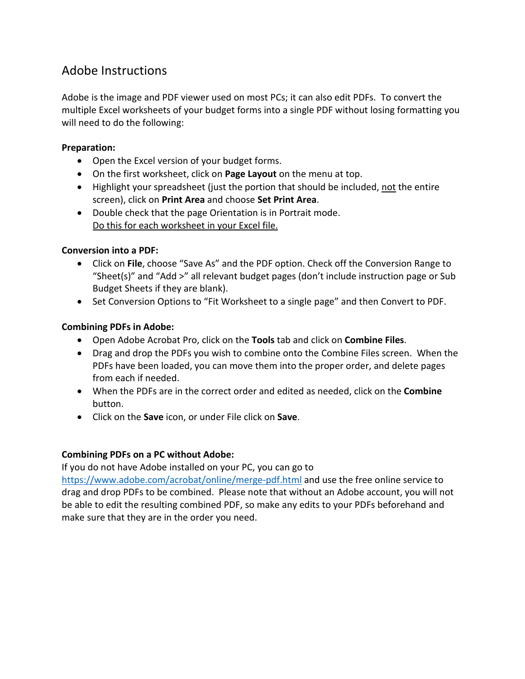# Adobe Instructions

Adobe is the image and PDF viewer used on most PCs; it can also edit PDFs. To convert the multiple Excel worksheets of your budget forms into a single PDF without losing formatting you will need to do the following:

## **Preparation:**

- Open the Excel version of your budget forms.
- On the first worksheet, click on **Page Layout** on the menu at top.
- Highlight your spreadsheet (just the portion that should be included, not the entire screen), click on **Print Area** and choose **Set Print Area**.
- Double check that the page Orientation is in Portrait mode. Do this for each worksheet in your Excel file.

## **Conversion into a PDF:**

- Click on **File**, choose "Save As" and the PDF option. Check off the Conversion Range to "Sheet(s)" and "Add >" all relevant budget pages (don't include instruction page or Sub Budget Sheets if they are blank).
- Set Conversion Options to "Fit Worksheet to a single page" and then Convert to PDF.

## **Combining PDFs in Adobe:**

- Open Adobe Acrobat Pro, click on the **Tools** tab and click on **Combine Files**.
- Drag and drop the PDFs you wish to combine onto the Combine Files screen. When the PDFs have been loaded, you can move them into the proper order, and delete pages from each if needed.
- When the PDFs are in the correct order and edited as needed, click on the **Combine**  button.
- Click on the **Save** icon, or under File click on **Save**.

## **Combining PDFs on a PC without Adobe:**

If you do not have Adobe installed on your PC, you can go to

<https://www.adobe.com/acrobat/online/merge-pdf.html> and use the free online service to drag and drop PDFs to be combined. Please note that without an Adobe account, you will not be able to edit the resulting combined PDF, so make any edits to your PDFs beforehand and make sure that they are in the order you need.